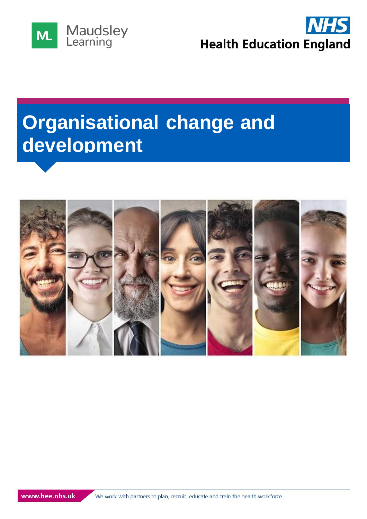



# **Organisational change and development**

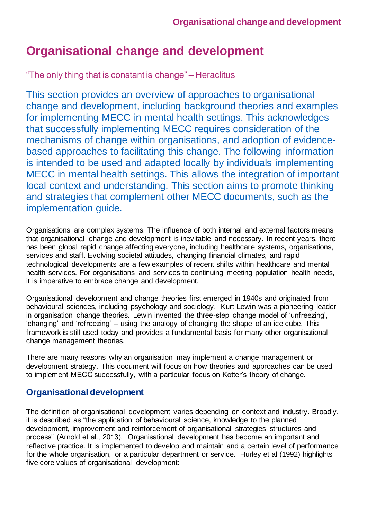## **Organisational change and development**

"The only thing that is constant is change" – Heraclitus

This section provides an overview of approaches to organisational change and development, including background theories and examples for implementing MECC in mental health settings. This acknowledges that successfully implementing MECC requires consideration of the mechanisms of change within organisations, and adoption of evidencebased approaches to facilitating this change. The following information is intended to be used and adapted locally by individuals implementing MECC in mental health settings. This allows the integration of important local context and understanding. This section aims to promote thinking and strategies that complement other MECC documents, such as the implementation guide.

Organisations are complex systems. The influence of both internal and external factors means that organisational change and development is inevitable and necessary. In recent years, there has been global rapid change affecting everyone, including healthcare systems, organisations, services and staff. Evolving societal attitudes, changing financial climates, and rapid technological developments are a few examples of recent shifts within healthcare and mental health services. For organisations and services to continuing meeting population health needs, it is imperative to embrace change and development.

Organisational development and change theories first emerged in 1940s and originated from behavioural sciences, including psychology and sociology. Kurt Lewin was a pioneering leader in organisation change theories. Lewin invented the three-step change model of 'unfreezing', 'changing' and 'refreezing' – using the analogy of changing the shape of an ice cube. This framework is still used today and provides a fundamental basis for many other organisational change management theories.

There are many reasons why an organisation may implement a change management or development strategy. This document will focus on how theories and approaches can be used to implement MECC successfully, with a particular focus on Kotter's theory of change.

## **Organisational development**

The definition of organisational development varies depending on context and industry. Broadly, it is described as "the application of behavioural science, knowledge to the planned development, improvement and reinforcement of organisational strategies structures and process" (Arnold et al., 2013). Organisational development has become an important and reflective practice. It is implemented to develop and maintain and a certain level of performance for the whole organisation, or a particular department or service. Hurley et al (1992) highlights five core values of organisational development: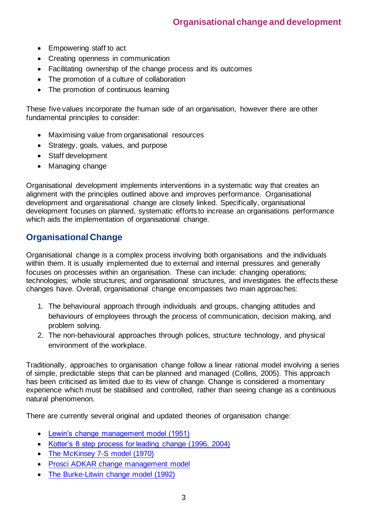- Empowering staff to act
- Creating openness in communication
- Facilitating ownership of the change process and its outcomes
- The promotion of a culture of collaboration
- The promotion of continuous learning

These five values incorporate the human side of an organisation, however there are other fundamental principles to consider:

- Maximising value from organisational resources
- Strategy, goals, values, and purpose
- Staff development
- Managing change

Organisational development implements interventions in a systematic way that creates an alignment with the principles outlined above and improves performance. Organisational development and organisational change are closely linked. Specifically, organisational development focuses on planned, systematic efforts to increase an organisations performance which aids the implementation of organisational change.

## **Organisational Change**

Organisational change is a complex process involving both organisations and the individuals within them. It is usually implemented due to external and internal pressures and generally focuses on processes within an organisation. These can include: changing operations; technologies; whole structures; and organisational structures, and investigates the effects these changes have. Overall, organisational change encompasses two main approaches:

- 1. The behavioural approach through individuals and groups, changing attitudes and behaviours of employees through the process of communication, decision making, and problem solving.
- 2. The non-behavioural approaches through polices, structure technology, and physical environment of the workplace.

Traditionally, approaches to organisation change follow a linear rational model involving a series of simple, predictable steps that can be planned and managed (Collins, 2005). This approach has been criticised as limited due to its view of change. Change is considered a momentary experience which must be stabilised and controlled, rather than seeing change as a continuous natural phenomenon.

There are currently several original and updated theories of organisation change:

- [Lewin's change management model \(1951\)](https://www.mindtools.com/pages/article/newPPM_94.htm)
- [Kotter's 8 step process for leading change \(1996, 2004\)](https://www.kotterinc.com/8-steps-process-for-leading-change/)
- [The McKinsey 7-S model \(1970\)](https://www.mindtools.com/pages/article/newSTR_91.htm)
- [Prosci ADKAR change management model](https://www.prosci.com/adkar)
- [The Burke-Litwin change model \(1992\)](https://journals.sagepub.com/doi/10.1177/014920639201800306)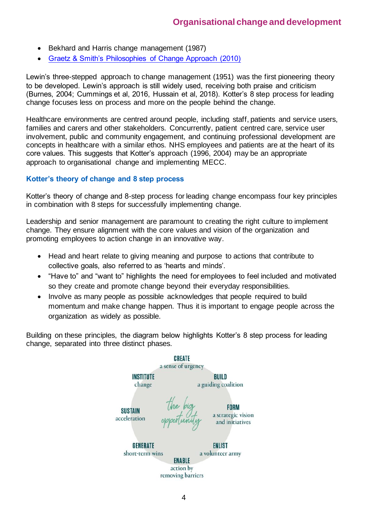- Bekhard and Harris change management (1987)
- [Graetz & Smith's Philosophies of Change Approach \(2010\)](https://www.tandfonline.com/doi/abs/10.1080/14697011003795602)

Lewin's three-stepped approach to change management (1951) was the first pioneering theory to be developed. Lewin's approach is still widely used, receiving both praise and criticism (Burnes, 2004; Cummings et al, 2016, Hussain et al, 2018). Kotter's 8 step process for leading change focuses less on process and more on the people behind the change.

Healthcare environments are centred around people, including staff, patients and service users, families and carers and other stakeholders. Concurrently, patient centred care, service user involvement, public and community engagement, and continuing professional development are concepts in healthcare with a similar ethos. NHS employees and patients are at the heart of its core values. This suggests that Kotter's approach (1996, 2004) may be an appropriate approach to organisational change and implementing MECC.

#### **Kotter's theory of change and 8 step process**

Kotter's theory of change and 8-step process for leading change encompass four key principles in combination with 8 steps for successfully implementing change.

Leadership and senior management are paramount to creating the right culture to implement change. They ensure alignment with the core values and vision of the organization and promoting employees to action change in an innovative way.

- Head and heart relate to giving meaning and purpose to actions that contribute to collective goals, also referred to as 'hearts and minds'.
- "Have to" and "want to" highlights the need for employees to feel included and motivated so they create and promote change beyond their everyday responsibilities.
- Involve as many people as possible acknowledges that people required to build momentum and make change happen. Thus it is important to engage people across the organization as widely as possible.

Building on these principles, the diagram below highlights Kotter's 8 step process for leading change, separated into three distinct phases.



4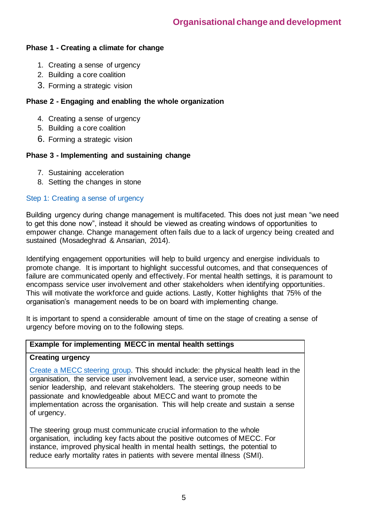#### **Phase 1 - Creating a climate for change**

- 1. Creating a sense of urgency
- 2. Building a core coalition
- 3. Forming a strategic vision

## **Phase 2 - Engaging and enabling the whole organization**

- 4. Creating a sense of urgency
- 5. Building a core coalition
- 6. Forming a strategic vision

## **Phase 3 - Implementing and sustaining change**

- 7. Sustaining acceleration
- 8. Setting the changes in stone

#### Step 1: Creating a sense of urgency

Building urgency during change management is multifaceted. This does not just mean "we need to get this done now", instead it should be viewed as creating windows of opportunities to empower change. Change management often fails due to a lack of urgency being created and sustained (Mosadeghrad & Ansarian, 2014).

Identifying engagement opportunities will help to build urgency and energise individuals to promote change. It is important to highlight successful outcomes, and that consequences of failure are communicated openly and effectively. For mental health settings, it is paramount to encompass service user involvement and other stakeholders when identifying opportunities. This will motivate the workforce and guide actions. Lastly, Kotter highlights that 75% of the organisation's management needs to be on board with implementing change.

It is important to spend a considerable amount of time on the stage of creating a sense of urgency before moving on to the following steps.

#### **Example for implementing MECC in mental health settings**

#### **Creating urgency**

[Create a MECC steering group.](http://www.wessexphnetwork.org.uk/media/26782/wessex-making-every-contact-count-toolkit-final.pdf) This should include: the physical health lead in the organisation, the service user involvement lead, a service user, someone within senior leadership, and relevant stakeholders. The steering group needs to be passionate and knowledgeable about MECC and want to promote the implementation across the organisation. This will help create and sustain a sense of urgency.

The steering group must communicate crucial information to the whole organisation, including key facts about the positive outcomes of MECC. For instance, improved physical health in mental health settings, the potential to reduce early mortality rates in patients with severe mental illness (SMI).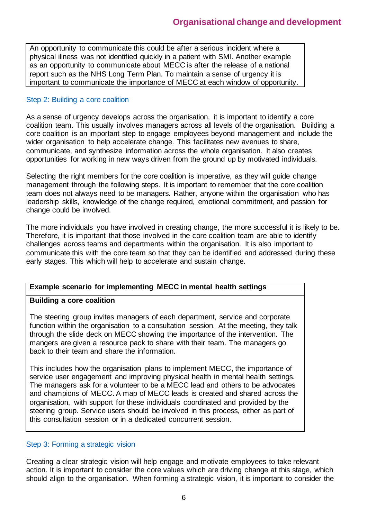An opportunity to communicate this could be after a serious incident where a physical illness was not identified quickly in a patient with SMI. Another example as an opportunity to communicate about MECC is after the release of a national report such as the NHS Long Term Plan. To maintain a sense of urgency it is important to communicate the importance of MECC at each window of opportunity.

#### Step 2: Building a core coalition

As a sense of urgency develops across the organisation, it is important to identify a core coalition team. This usually involves managers across all levels of the organisation. Building a core coalition is an important step to engage employees beyond management and include the wider organisation to help accelerate change. This facilitates new avenues to share, communicate, and synthesize information across the whole organisation. It also creates opportunities for working in new ways driven from the ground up by motivated individuals.

Selecting the right members for the core coalition is imperative, as they will guide change management through the following steps. It is important to remember that the core coalition team does not always need to be managers. Rather, anyone within the organisation who has leadership skills, knowledge of the change required, emotional commitment, and passion for change could be involved.

The more individuals you have involved in creating change, the more successful it is likely to be. Therefore, it is important that those involved in the core coalition team are able to identify challenges across teams and departments within the organisation. It is also important to communicate this with the core team so that they can be identified and addressed during these early stages. This which will help to accelerate and sustain change.

#### **Example scenario for implementing MECC in mental health settings**

#### **Building a core coalition**

The steering group invites managers of each department, service and corporate function within the organisation to a consultation session. At the meeting, they talk through the slide deck on MECC showing the importance of the intervention. The mangers are given a resource pack to share with their team. The managers go back to their team and share the information.

This includes how the organisation plans to implement MECC, the importance of service user engagement and improving physical health in mental health settings. The managers ask for a volunteer to be a MECC lead and others to be advocates and champions of MECC. A map of MECC leads is created and shared across the organisation, with support for these individuals coordinated and provided by the steering group. Service users should be involved in this process, either as part of this consultation session or in a dedicated concurrent session.

#### Step 3: Forming a strategic vision

Creating a clear strategic vision will help engage and motivate employees to take relevant action. It is important to consider the core values which are driving change at this stage, which should align to the organisation. When forming a strategic vision, it is important to consider the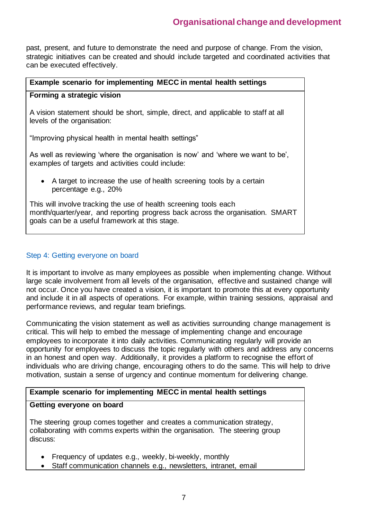## **Organisational change and development**

past, present, and future to demonstrate the need and purpose of change. From the vision, strategic initiatives can be created and should include targeted and coordinated activities that can be executed effectively.

#### **Example scenario for implementing MECC in mental health settings**

#### **Forming a strategic vision**

A vision statement should be short, simple, direct, and applicable to staff at all levels of the organisation:

"Improving physical health in mental health settings"

As well as reviewing 'where the organisation is now' and 'where we want to be', examples of targets and activities could include:

• A target to increase the use of health screening tools by a certain percentage e.g., 20%

This will involve tracking the use of health screening tools each month/quarter/year, and reporting progress back across the organisation. SMART goals can be a useful framework at this stage.

#### Step 4: Getting everyone on board

It is important to involve as many employees as possible when implementing change. Without large scale involvement from all levels of the organisation, effective and sustained change will not occur. Once you have created a vision, it is important to promote this at every opportunity and include it in all aspects of operations. For example, within training sessions, appraisal and performance reviews, and regular team briefings.

Communicating the vision statement as well as activities surrounding change management is critical. This will help to embed the message of implementing change and encourage employees to incorporate it into daily activities. Communicating regularly will provide an opportunity for employees to discuss the topic regularly with others and address any concerns in an honest and open way. Additionally, it provides a platform to recognise the effort of individuals who are driving change, encouraging others to do the same. This will help to drive motivation, sustain a sense of urgency and continue momentum for delivering change.

#### **Example scenario for implementing MECC in mental health settings**

#### **Getting everyone on board**

The steering group comes together and creates a communication strategy, collaborating with comms experts within the organisation. The steering group discuss:

- Frequency of updates e.g., weekly, bi-weekly, monthly
- Staff communication channels e.g., newsletters, intranet, email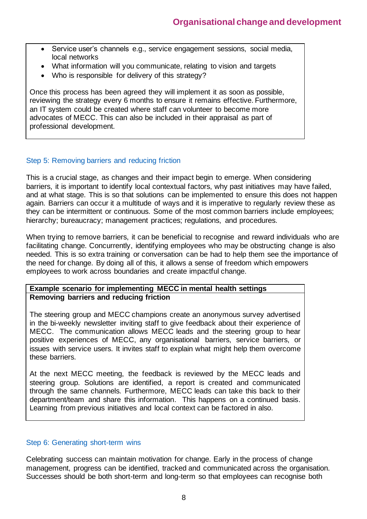- Service user's channels e.g., service engagement sessions, social media, local networks
- What information will you communicate, relating to vision and targets
- Who is responsible for delivery of this strategy?

Once this process has been agreed they will implement it as soon as possible, reviewing the strategy every 6 months to ensure it remains effective. Furthermore, an IT system could be created where staff can volunteer to become more advocates of MECC. This can also be included in their appraisal as part of professional development.

#### Step 5: Removing barriers and reducing friction

This is a crucial stage, as changes and their impact begin to emerge. When considering barriers, it is important to identify local contextual factors, why past initiatives may have failed, and at what stage. This is so that solutions can be implemented to ensure this does not happen again. Barriers can occur it a multitude of ways and it is imperative to regularly review these as they can be intermittent or continuous. Some of the most common barriers include employees; hierarchy; bureaucracy; management practices; regulations, and procedures.

When trying to remove barriers, it can be beneficial to recognise and reward individuals who are facilitating change. Concurrently, identifying employees who may be obstructing change is also needed. This is so extra training or conversation can be had to help them see the importance of the need for change. By doing all of this, it allows a sense of freedom which empowers employees to work across boundaries and create impactful change.

#### **Example scenario for implementing MECC in mental health settings Removing barriers and reducing friction**

The steering group and MECC champions create an anonymous survey advertised in the bi-weekly newsletter inviting staff to give feedback about their experience of MECC. The communication allows MECC leads and the steering group to hear positive experiences of MECC, any organisational barriers, service barriers, or issues with service users. It invites staff to explain what might help them overcome these barriers.

At the next MECC meeting, the feedback is reviewed by the MECC leads and steering group. Solutions are identified, a report is created and communicated through the same channels. Furthermore, MECC leads can take this back to their department/team and share this information. This happens on a continued basis. Learning from previous initiatives and local context can be factored in also.

#### Step 6: Generating short-term wins

Celebrating success can maintain motivation for change. Early in the process of change management, progress can be identified, tracked and communicated across the organisation. Successes should be both short-term and long-term so that employees can recognise both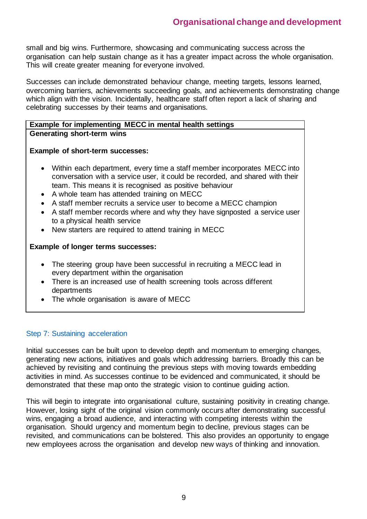small and big wins. Furthermore, showcasing and communicating success across the organisation can help sustain change as it has a greater impact across the whole organisation. This will create greater meaning for everyone involved.

Successes can include demonstrated behaviour change, meeting targets, lessons learned, overcoming barriers, achievements succeeding goals, and achievements demonstrating change which align with the vision. Incidentally, healthcare staff often report a lack of sharing and celebrating successes by their teams and organisations.

#### **Example for implementing MECC in mental health settings Generating short-term wins**

#### **Example of short-term successes:**

- Within each department, every time a staff member incorporates MECC into conversation with a service user, it could be recorded, and shared with their team. This means it is recognised as positive behaviour
- A whole team has attended training on MECC
- A staff member recruits a service user to become a MECC champion
- A staff member records where and why they have signposted a service user to a physical health service
- New starters are required to attend training in MECC

#### **Example of longer terms successes:**

- The steering group have been successful in recruiting a MECC lead in every department within the organisation
- There is an increased use of health screening tools across different departments
- The whole organisation is aware of MECC

#### Step 7: Sustaining acceleration

Initial successes can be built upon to develop depth and momentum to emerging changes, generating new actions, initiatives and goals which addressing barriers. Broadly this can be achieved by revisiting and continuing the previous steps with moving towards embedding activities in mind. As successes continue to be evidenced and communicated, it should be demonstrated that these map onto the strategic vision to continue guiding action.

This will begin to integrate into organisational culture, sustaining positivity in creating change. However, losing sight of the original vision commonly occurs after demonstrating successful wins, engaging a broad audience, and interacting with competing interests within the organisation. Should urgency and momentum begin to decline, previous stages can be revisited, and communications can be bolstered. This also provides an opportunity to engage new employees across the organisation and develop new ways of thinking and innovation.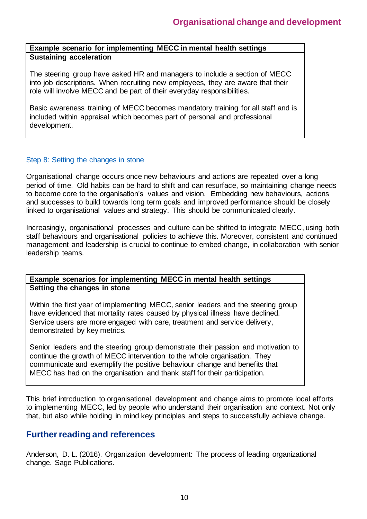#### **Example scenario for implementing MECC in mental health settings Sustaining acceleration**

The steering group have asked HR and managers to include a section of MECC into job descriptions. When recruiting new employees, they are aware that their role will involve MECC and be part of their everyday responsibilities.

Basic awareness training of MECC becomes mandatory training for all staff and is included within appraisal which becomes part of personal and professional development.

#### Step 8: Setting the changes in stone

Organisational change occurs once new behaviours and actions are repeated over a long period of time. Old habits can be hard to shift and can resurface, so maintaining change needs to become core to the organisation's values and vision. Embedding new behaviours, actions and successes to build towards long term goals and improved performance should be closely linked to organisational values and strategy. This should be communicated clearly.

Increasingly, organisational processes and culture can be shifted to integrate MECC, using both staff behaviours and organisational policies to achieve this. Moreover, consistent and continued management and leadership is crucial to continue to embed change, in collaboration with senior leadership teams.

#### **Example scenarios for implementing MECC in mental health settings Setting the changes in stone**

Within the first year of implementing MECC, senior leaders and the steering group have evidenced that mortality rates caused by physical illness have declined. Service users are more engaged with care, treatment and service delivery, demonstrated by key metrics.

Senior leaders and the steering group demonstrate their passion and motivation to continue the growth of MECC intervention to the whole organisation. They communicate and exemplify the positive behaviour change and benefits that MECC has had on the organisation and thank staff for their participation.

This brief introduction to organisational development and change aims to promote local efforts to implementing MECC, led by people who understand their organisation and context. Not only that, but also while holding in mind key principles and steps to successfully achieve change.

## **Further reading and references**

Anderson, D. L. (2016). Organization development: The process of leading organizational change. Sage Publications.